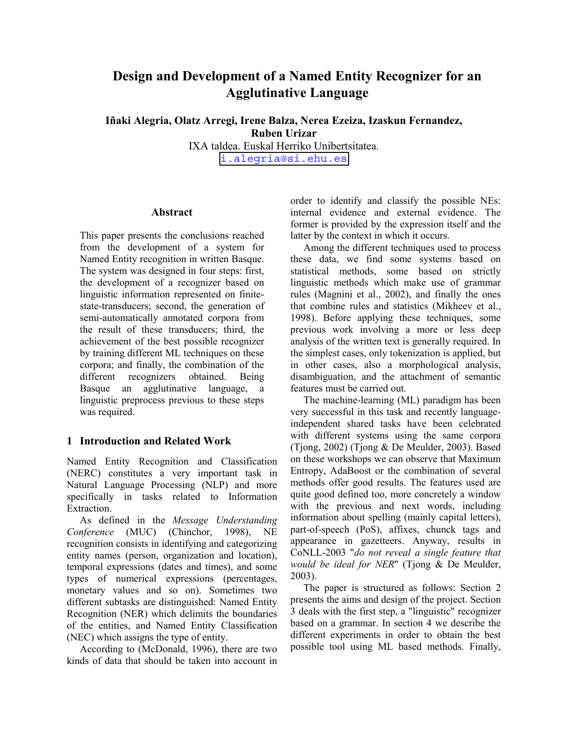# **Design and Development of a Named Entity Recognizer for an Agglutinative Language**

**Iñaki Alegria, Olatz Arregi, Irene Balza, Nerea Ezeiza, Izaskun Fernandez, Ruben Urizar** 

IXA taldea. Euskal Herriko Unibertsitatea. [i.alegria@si.ehu.es](mailto:i.alegria@si.ehu.es) 

#### **Abstract**

This paper presents the conclusions reached from the development of a system for Named Entity recognition in written Basque. The system was designed in four steps: first, the development of a recognizer based on linguistic information represented on finitestate-transducers; second, the generation of semi-automatically annotated corpora from the result of these transducers; third, the achievement of the best possible recognizer by training different ML techniques on these corpora; and finally, the combination of the different recognizers obtained. Being Basque an agglutinative language, a linguistic preprocess previous to these steps was required.

# **1 Introduction and Related Work**

Named Entity Recognition and Classification (NERC) constitutes a very important task in Natural Language Processing (NLP) and more specifically in tasks related to Information Extraction.

As defined in the *Message Understanding Conference* (MUC) (Chinchor, 1998), NE recognition consists in identifying and categorizing entity names (person, organization and location), temporal expressions (dates and times), and some types of numerical expressions (percentages, monetary values and so on). Sometimes two different subtasks are distinguished: Named Entity Recognition (NER) which delimits the boundaries of the entities, and Named Entity Classification (NEC) which assigns the type of entity.

According to (McDonald, 1996), there are two kinds of data that should be taken into account in order to identify and classify the possible NEs: internal evidence and external evidence. The former is provided by the expression itself and the latter by the context in which it occurs.

Among the different techniques used to process these data, we find some systems based on statistical methods, some based on strictly linguistic methods which make use of grammar rules (Magnini et al., 2002), and finally the ones that combine rules and statistics (Mikheev et al., 1998). Before applying these techniques, some previous work involving a more or less deep analysis of the written text is generally required. In the simplest cases, only tokenization is applied, but in other cases, also a morphological analysis, disambiguation, and the attachment of semantic features must be carried out.

The machine-learning (ML) paradigm has been very successful in this task and recently languageindependent shared tasks have been celebrated with different systems using the same corpora (Tjong, 2002) (Tjong & De Meulder, 2003). Based on these workshops we can observe that Maximum Entropy, AdaBoost or the combination of several methods offer good results. The features used are quite good defined too, more concretely a window with the previous and next words, including information about spelling (mainly capital letters), part-of-speech (PoS), affixes, chunck tags and appearance in gazetteers. Anyway, results in CoNLL-2003 "*do not reveal a single feature that would be ideal for NER*" (Tjong & De Meulder, 2003).

The paper is structured as follows: Section 2 presents the aims and design of the project. Section 3 deals with the first step, a "linguistic" recognizer based on a grammar. In section 4 we describe the different experiments in order to obtain the best possible tool using ML based methods. Finally,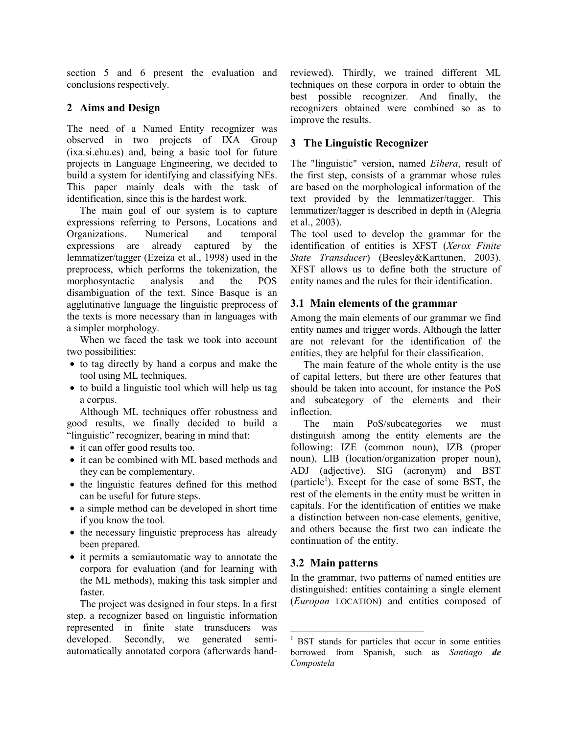section 5 and 6 present the evaluation and conclusions respectively.

# **2 Aims and Design**

The need of a Named Entity recognizer was observed in two projects of IXA Group (ixa.si.ehu.es) and, being a basic tool for future projects in Language Engineering, we decided to build a system for identifying and classifying NEs. This paper mainly deals with the task of identification, since this is the hardest work.

The main goal of our system is to capture expressions referring to Persons, Locations and Organizations. Numerical and temporal expressions are already captured by the lemmatizer/tagger (Ezeiza et al., 1998) used in the preprocess, which performs the tokenization, the morphosyntactic analysis and the POS disambiguation of the text. Since Basque is an agglutinative language the linguistic preprocess of the texts is more necessary than in languages with a simpler morphology.

When we faced the task we took into account two possibilities:

- to tag directly by hand a corpus and make the tool using ML techniques.
- to build a linguistic tool which will help us tag a corpus.

Although ML techniques offer robustness and good results, we finally decided to build a "linguistic" recognizer, bearing in mind that:

- it can offer good results too.
- it can be combined with ML based methods and they can be complementary.
- the linguistic features defined for this method can be useful for future steps.
- a simple method can be developed in short time if you know the tool.
- the necessary linguistic preprocess has already been prepared.
- it permits a semiautomatic way to annotate the corpora for evaluation (and for learning with the ML methods), making this task simpler and faster.

The project was designed in four steps. In a first step, a recognizer based on linguistic information represented in finite state transducers was developed. Secondly, we generated semiautomatically annotated corpora (afterwards handreviewed). Thirdly, we trained different ML techniques on these corpora in order to obtain the best possible recognizer. And finally, the recognizers obtained were combined so as to improve the results.

# **3 The Linguistic Recognizer**

The "linguistic" version, named *Eihera*, result of the first step, consists of a grammar whose rules are based on the morphological information of the text provided by the lemmatizer/tagger. This lemmatizer/tagger is described in depth in (Alegria et al., 2003).

The tool used to develop the grammar for the identification of entities is XFST (*Xerox Finite State Transducer*) (Beesley&Karttunen, 2003). XFST allows us to define both the structure of entity names and the rules for their identification.

# **3.1 Main elements of the grammar**

Among the main elements of our grammar we find entity names and trigger words. Although the latter are not relevant for the identification of the entities, they are helpful for their classification.

The main feature of the whole entity is the use of capital letters, but there are other features that should be taken into account, for instance the PoS and subcategory of the elements and their inflection.

The main PoS/subcategories we must distinguish among the entity elements are the following: IZE (common noun), IZB (proper noun), LIB (location/organization proper noun), ADJ (adjective), SIG (acronym) and BST  $(particle<sup>1</sup>)$ . Except for the case of some BST, the rest of the elements in the entity must be written in capitals. For the identification of entities we make a distinction between non-case elements, genitive, and others because the first two can indicate the continuation of the entity.

# **3.2 Main patterns**

l

In the grammar, two patterns of named entities are distinguished: entities containing a single element (*Europan* LOCATION) and entities composed of

<sup>&</sup>lt;sup>1</sup> BST stands for particles that occur in some entities borrowed from Spanish, such as *Santiago de Compostela*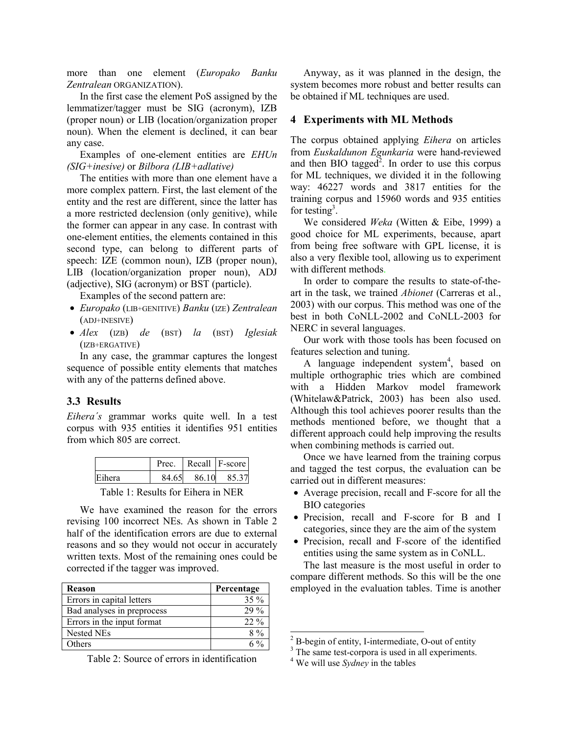more than one element (*Europako Banku Zentralean* ORGANIZATION).

In the first case the element PoS assigned by the lemmatizer/tagger must be SIG (acronym), IZB (proper noun) or LIB (location/organization proper noun). When the element is declined, it can bear any case.

Examples of one-element entities are *EHUn (SIG+inesive)* or *Bilbora (LIB+adlative)* 

The entities with more than one element have a more complex pattern. First, the last element of the entity and the rest are different, since the latter has a more restricted declension (only genitive), while the former can appear in any case. In contrast with one-element entities, the elements contained in this second type, can belong to different parts of speech: IZE (common noun), IZB (proper noun), LIB (location/organization proper noun), ADJ (adjective), SIG (acronym) or BST (particle).

Examples of the second pattern are:

- *Europako* (LIB+GENITIVE) *Banku* (IZE) *Zentralean* (ADJ+INESIVE)
- *Alex* (IZB) *de* (BST) *la* (BST) *Iglesiak* (IZB+ERGATIVE)

In any case, the grammar captures the longest sequence of possible entity elements that matches with any of the patterns defined above.

#### **3.3 Results**

*Eihera´s* grammar works quite well. In a test corpus with 935 entities it identifies 951 entities from which 805 are correct.

|        |       | Prec.   Recall   F-score |      |  |
|--------|-------|--------------------------|------|--|
| Eihera | 84.65 | 86.10                    | 8537 |  |

Table 1: Results for Eihera in NER

We have examined the reason for the errors revising 100 incorrect NEs. As shown in Table 2 half of the identification errors are due to external reasons and so they would not occur in accurately written texts. Most of the remaining ones could be corrected if the tagger was improved.

| <b>Reason</b>              | Percentage |
|----------------------------|------------|
| Errors in capital letters  | $35\%$     |
| Bad analyses in preprocess | $29\%$     |
| Errors in the input format | $22\%$     |
| Nested NEs                 | $8\%$      |
| Others                     |            |

Table 2: Source of errors in identification

Anyway, as it was planned in the design, the system becomes more robust and better results can be obtained if ML techniques are used.

#### **4 Experiments with ML Methods**

The corpus obtained applying *Eihera* on articles from *Euskaldunon Egunkaria* were hand-reviewed and then BIO tagged<sup>2</sup>. In order to use this corpus for ML techniques, we divided it in the following way: 46227 words and 3817 entities for the training corpus and 15960 words and 935 entities for testing<sup>3</sup>.

We considered *Weka* (Witten & Eibe, 1999) a good choice for ML experiments, because, apart from being free software with GPL license, it is also a very flexible tool, allowing us to experiment with different methods.

In order to compare the results to state-of-theart in the task, we trained *Abionet* (Carreras et al., 2003) with our corpus. This method was one of the best in both CoNLL-2002 and CoNLL-2003 for NERC in several languages.

Our work with those tools has been focused on features selection and tuning.

A language independent system<sup>4</sup>, based on multiple orthographic tries which are combined with a Hidden Markov model framework (Whitelaw&Patrick, 2003) has been also used. Although this tool achieves poorer results than the methods mentioned before, we thought that a different approach could help improving the results when combining methods is carried out.

Once we have learned from the training corpus and tagged the test corpus, the evaluation can be carried out in different measures:

- Average precision, recall and F-score for all the BIO categories
- Precision, recall and F-score for B and I categories, since they are the aim of the system
- Precision, recall and F-score of the identified entities using the same system as in CoNLL.

The last measure is the most useful in order to compare different methods. So this will be the one employed in the evaluation tables. Time is another

l

 $2^2$  B-begin of entity, I-intermediate, O-out of entity

<sup>&</sup>lt;sup>3</sup> The same test-corpora is used in all experiments.

<sup>4</sup> We will use *Sydney* in the tables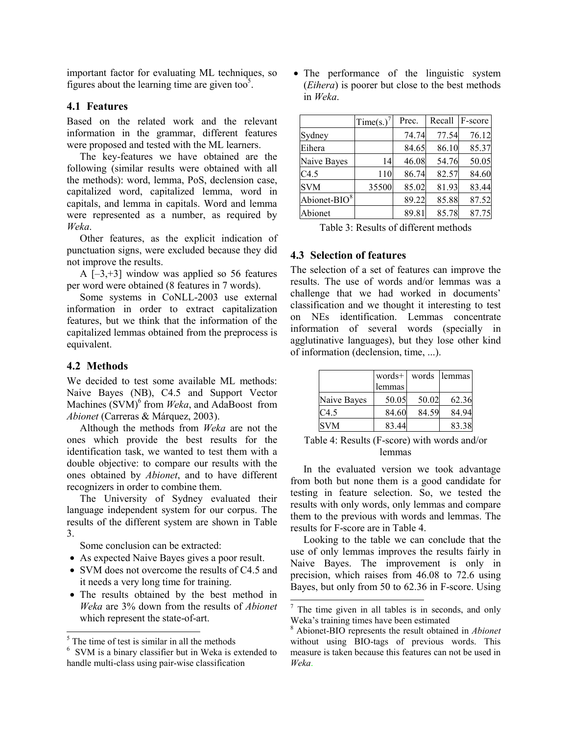important factor for evaluating ML techniques, so figures about the learning time are given too<sup>5</sup>.

## **4.1 Features**

Based on the related work and the relevant information in the grammar, different features were proposed and tested with the ML learners.

The key-features we have obtained are the following (similar results were obtained with all the methods): word, lemma, PoS, declension case, capitalized word, capitalized lemma, word in capitals, and lemma in capitals. Word and lemma were represented as a number, as required by *Weka*.

Other features, as the explicit indication of punctuation signs, were excluded because they did not improve the results.

A  $[-3, +3]$  window was applied so 56 features per word were obtained (8 features in 7 words).

Some systems in CoNLL-2003 use external information in order to extract capitalization features, but we think that the information of the capitalized lemmas obtained from the preprocess is equivalent.

## **4.2 Methods**

We decided to test some available ML methods: Naive Bayes (NB), C4.5 and Support Vector Machines (SVM)<sup>6</sup> from *Weka*, and AdaBoost from *Abionet* (Carreras & Márquez, 2003).

Although the methods from *Weka* are not the ones which provide the best results for the identification task, we wanted to test them with a double objective: to compare our results with the ones obtained by *Abionet*, and to have different recognizers in order to combine them.

The University of Sydney evaluated their language independent system for our corpus. The results of the different system are shown in Table 3.

Some conclusion can be extracted:

- As expected Naive Bayes gives a poor result.
- SVM does not overcome the results of C4.5 and it needs a very long time for training.
- The results obtained by the best method in *Weka* are 3% down from the results of *Abionet* which represent the state-of-art.

• The performance of the linguistic system (*Eihera*) is poorer but close to the best methods in *Weka*.

|                 | $Time(s.)^7$ | Prec. | Recall | F-score |
|-----------------|--------------|-------|--------|---------|
| Sydney          |              | 74.74 | 77.54  | 76.12   |
| Eihera          |              | 84.65 | 86.10  | 85.37   |
| Naive Bayes     | 14           | 46.08 | 54.76  | 50.05   |
| C4.5            | 110          | 86.74 | 82.57  | 84.60   |
| <b>SVM</b>      | 35500        | 85.02 | 81.93  | 83.44   |
| Abionet-BIO $8$ |              | 89.22 | 85.88  | 87.52   |
| Abionet         |              | 89.81 | 85.78  | 87.75   |

Table 3: Results of different methods

## **4.3 Selection of features**

The selection of a set of features can improve the results. The use of words and/or lemmas was a challenge that we had worked in documents' classification and we thought it interesting to test on NEs identification. Lemmas concentrate information of several words (specially in agglutinative languages), but they lose other kind of information (declension, time, ...).

|             | words+<br>lemmas |       | words lemmas |
|-------------|------------------|-------|--------------|
| Naive Bayes | 50.05            | 50.02 | 62.36        |
| C4.5        | 84.60            | 84.59 | 84.94        |
| <b>SVM</b>  | 83.44            |       | 83.38        |

Table 4: Results (F-score) with words and/or lemmas

In the evaluated version we took advantage from both but none them is a good candidate for testing in feature selection. So, we tested the results with only words, only lemmas and compare them to the previous with words and lemmas. The results for F-score are in Table 4.

Looking to the table we can conclude that the use of only lemmas improves the results fairly in Naive Bayes. The improvement is only in precision, which raises from 46.08 to 72.6 using Bayes, but only from 50 to 62.36 in F-score. Using

l

 $\frac{1}{5}$  The time of test is similar in all the methods

<sup>6</sup> SVM is a binary classifier but in Weka is extended to handle multi-class using pair-wise classification

 $7$  The time given in all tables is in seconds, and only Weka's training times have been estimated

<sup>8</sup> Abionet-BIO represents the result obtained in *Abionet* without using BIO-tags of previous words. This measure is taken because this features can not be used in *Weka*.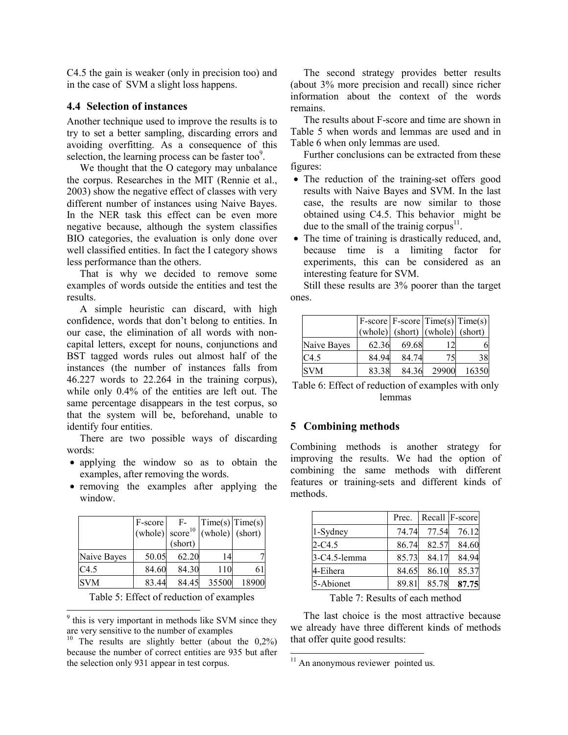C4.5 the gain is weaker (only in precision too) and in the case of SVM a slight loss happens.

## **4.4 Selection of instances**

Another technique used to improve the results is to try to set a better sampling, discarding errors and avoiding overfitting. As a consequence of this selection, the learning process can be faster too $9$ .

We thought that the O category may unbalance the corpus. Researches in the MIT (Rennie et al., 2003) show the negative effect of classes with very different number of instances using Naive Bayes. In the NER task this effect can be even more negative because, although the system classifies BIO categories, the evaluation is only done over well classified entities. In fact the I category shows less performance than the others.

That is why we decided to remove some examples of words outside the entities and test the results.

A simple heuristic can discard, with high confidence, words that don't belong to entities. In our case, the elimination of all words with noncapital letters, except for nouns, conjunctions and BST tagged words rules out almost half of the instances (the number of instances falls from 46.227 words to 22.264 in the training corpus), while only 0.4% of the entities are left out. The same percentage disappears in the test corpus, so that the system will be, beforehand, unable to identify four entities.

There are two possible ways of discarding words:

- applying the window so as to obtain the examples, after removing the words.
- removing the examples after applying the window.

|             | F-score<br>(whole) $score^{10}$ | $F-$<br>(short) | Time(s)   Time(s)<br>(whole) (short) |       |
|-------------|---------------------------------|-----------------|--------------------------------------|-------|
| Naive Bayes | 50.05                           | 62.20           | 14                                   |       |
| C4.5        | 84.60                           | 84.30           | 110                                  | 61    |
| <b>SVM</b>  | 83.44                           | 84.45           | 35500                                | 18900 |

Table 5: Effect of reduction of examples

 $\overline{\phantom{a}}$ 

<sup>9</sup> this is very important in methods like SVM since they are very sensitive to the number of examples

The second strategy provides better results (about 3% more precision and recall) since richer information about the context of the words remains.

The results about F-score and time are shown in Table 5 when words and lemmas are used and in Table 6 when only lemmas are used.

Further conclusions can be extracted from these figures:

- The reduction of the training-set offers good results with Naive Bayes and SVM. In the last case, the results are now similar to those obtained using C4.5. This behavior might be due to the small of the trainig corpus<sup>11</sup>.
- The time of training is drastically reduced, and, because time is a limiting factor for experiments, this can be considered as an interesting feature for SVM.

Still these results are 3% poorer than the target ones.

|             |       |       |                                     | $F-score   F-score   Time(s)   Time(s)  $ |
|-------------|-------|-------|-------------------------------------|-------------------------------------------|
|             |       |       | $(whole)$ (short) $(whole)$ (short) |                                           |
| Naive Bayes | 62.36 | 69.68 |                                     |                                           |
| C4.5        | 84.94 | 84.74 | 75                                  | 38                                        |
| <b>SVM</b>  | 83.38 | 84.36 | 29900                               | 16350                                     |

Table 6: Effect of reduction of examples with only lemmas

#### **5 Combining methods**

Combining methods is another strategy for improving the results. We had the option of combining the same methods with different features or training-sets and different kinds of methods.

|              | Prec. |       | Recall F-score |
|--------------|-------|-------|----------------|
| 1-Sydney     | 74.74 | 77.54 | 76.12          |
| $2 - C4.5$   | 86.74 | 82.57 | 84.60          |
| 3-C4.5-lemma | 85.73 | 84.17 | 84.94          |
| 4-Eihera     | 84.65 | 86.10 | 85.37          |
| 5-Abionet    | 89.81 | 85.78 | 87.75          |

Table 7: Results of each method

The last choice is the most attractive because we already have three different kinds of methods that offer quite good results:

 $\overline{\phantom{a}}$ 

<sup>&</sup>lt;sup>10</sup> The results are slightly better (about the  $0.2\%$ ) because the number of correct entities are 935 but after the selection only 931 appear in test corpus.

 $11$  An anonymous reviewer pointed us.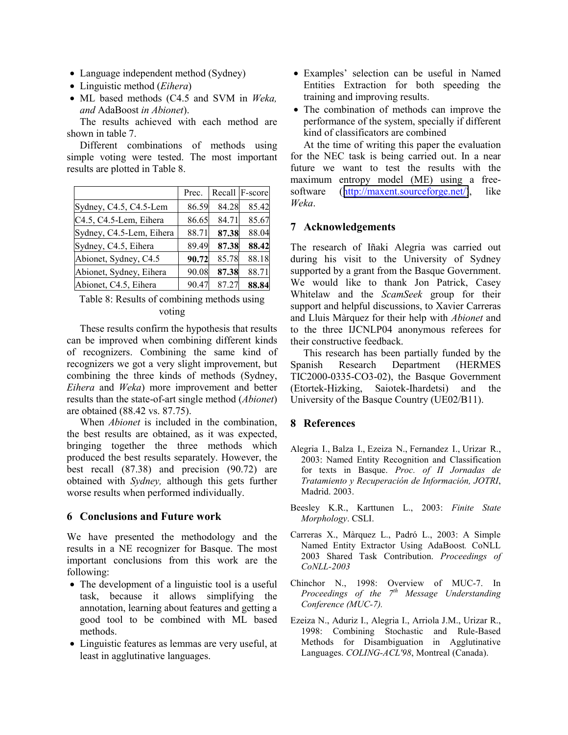- Language independent method (Sydney)
- Linguistic method (*Eihera*)
- ML based methods (C4.5 and SVM in *Weka, and* AdaBoost *in Abionet*).

The results achieved with each method are shown in table 7.

Different combinations of methods using simple voting were tested. The most important results are plotted in Table 8.

|                          | Prec. |       | Recall F-score |
|--------------------------|-------|-------|----------------|
| Sydney, C4.5, C4.5-Lem   | 86.59 | 84.28 | 85.42          |
| C4.5, C4.5-Lem, Eihera   | 86.65 | 84.71 | 85.67          |
| Sydney, C4.5-Lem, Eihera | 88.71 | 87.38 | 88.04          |
| Sydney, C4.5, Eihera     | 89.49 | 87.38 | 88.42          |
| Abionet, Sydney, C4.5    | 90.72 | 85.78 | 88.18          |
| Abionet, Sydney, Eihera  | 90.08 | 87.38 | 88.71          |
| Abionet, C4.5, Eihera    | 90.47 | 87.27 | 88.84          |

Table 8: Results of combining methods using voting

These results confirm the hypothesis that results can be improved when combining different kinds of recognizers. Combining the same kind of recognizers we got a very slight improvement, but combining the three kinds of methods (Sydney, *Eihera* and *Weka*) more improvement and better results than the state-of-art single method (*Abionet*) are obtained (88.42 vs. 87.75).

When *Abionet* is included in the combination, the best results are obtained, as it was expected, bringing together the three methods which produced the best results separately. However, the best recall (87.38) and precision (90.72) are obtained with *Sydney,* although this gets further worse results when performed individually.

# **6 Conclusions and Future work**

We have presented the methodology and the results in a NE recognizer for Basque. The most important conclusions from this work are the following:

- The development of a linguistic tool is a useful task, because it allows simplifying the annotation, learning about features and getting a good tool to be combined with ML based methods.
- Linguistic features as lemmas are very useful, at least in agglutinative languages.
- Examples' selection can be useful in Named Entities Extraction for both speeding the training and improving results.
- The combination of methods can improve the performance of the system, specially if different kind of classificators are combined

At the time of writing this paper the evaluation for the NEC task is being carried out. In a near future we want to test the results with the maximum entropy model (ME) using a freesoftware ([http://maxent.sourceforge.net/\)](http://maxent.sourceforge.net/), like *Weka*.

#### **7 Acknowledgements**

The research of Iñaki Alegria was carried out during his visit to the University of Sydney supported by a grant from the Basque Government. We would like to thank Jon Patrick, Casey Whitelaw and the *ScamSeek* group for their support and helpful discussions, to Xavier Carreras and Lluis Màrquez for their help with *Abionet* and to the three IJCNLP04 anonymous referees for their constructive feedback.

This research has been partially funded by the Spanish Research Department (HERMES TIC2000-0335-CO3-02), the Basque Government (Etortek-Hizking, Saiotek-Ihardetsi) and the University of the Basque Country (UE02/B11).

# **8 References**

- Alegria I., Balza I., Ezeiza N., Fernandez I., Urizar R., 2003: Named Entity Recognition and Classification for texts in Basque. *Proc. of II Jornadas de Tratamiento y Recuperación de Información, JOTRI*, Madrid. 2003.
- Beesley K.R., Karttunen L., 2003: *Finite State Morphology*. CSLI.
- Carreras X., Màrquez L., Padró L., 2003: A Simple Named Entity Extractor Using AdaBoost*.* CoNLL 2003 Shared Task Contribution. *Proceedings of CoNLL-2003*
- Chinchor N., 1998: Overview of MUC-7. In *Proceedings of the 7th Message Understanding Conference (MUC-7).*
- Ezeiza N., Aduriz I., Alegria I., Arriola J.M., Urizar R., 1998: Combining Stochastic and Rule-Based Methods for Disambiguation in Agglutinative Languages. *COLING-ACL'98*, Montreal (Canada).